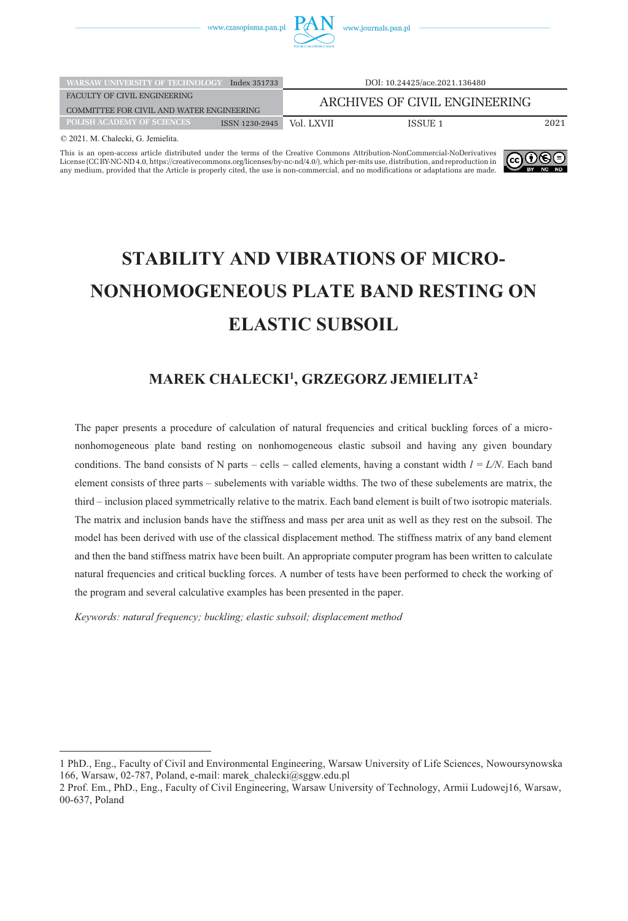

| <b>WARSAW UNIVERSITY OF TECHNOLOGY</b>                    | Index 351733   |                               | DOI: 10.24425/ace.2021.136480 |      |
|-----------------------------------------------------------|----------------|-------------------------------|-------------------------------|------|
| FACULTY OF CIVIL ENGINEERING                              |                | ARCHIVES OF CIVIL ENGINEERING |                               |      |
| COMMITTEE FOR CIVIL AND WATER ENGINEERING                 |                |                               |                               |      |
| <b>POLISH ACADEMY OF SCIENCES</b>                         | ISSN 1230-2945 | Vol. LXVII                    | ISSUE 1                       | 2021 |
| $\alpha$ and is a cut if $\alpha$ if $\alpha$ if $\alpha$ |                |                               |                               |      |

© 2021. M. Chalecki, G. Jemielita.

This is an open-access article distributed under the terms of the Creative Commons Attribution-NonCommercial-NoDerivatives [License \(CC BY-NC-ND 4.0, https://creativecommons.org/licenses/by-nc-nd/4.0/\), which per-mits use, distribution, and reproduction in](https://creativecommons.org/licenses/by-nc-nd/4.0/)  any medium, provided that the Article is properly cited, the use is non-commercial, and no modifications or adaptations are made.



# **STABILITY AND VIBRATIONS OF MICRO-NONHOMOGENEOUS PLATE BAND RESTING ON ELASTIC SUBSOIL**

# **MAREK CHALECKI1 , GRZEGORZ JEMIELITA2**

The paper presents a procedure of calculation of natural frequencies and critical buckling forces of a micrononhomogeneous plate band resting on nonhomogeneous elastic subsoil and having any given boundary conditions. The band consists of N parts – cells – called elements, having a constant width  $l = L/N$ . Each band element consists of three parts – subelements with variable widths. The two of these subelements are matrix, the third – inclusion placed symmetrically relative to the matrix. Each band element is built of two isotropic materials. The matrix and inclusion bands have the stiffness and mass per area unit as well as they rest on the subsoil. The model has been derived with use of the classical displacement method. The stiffness matrix of any band element and then the band stiffness matrix have been built. An appropriate computer program has been written to calculate natural frequencies and critical buckling forces. A number of tests have been performed to check the working of the program and several calculative examples has been presented in the paper.

*Keywords: natural frequency; buckling; elastic subsoil; displacement method*

<sup>1</sup> PhD., Eng., Faculty of Civil and Environmental Engineering, Warsaw University of Life Sciences, Nowoursynowska 166, Warsaw, 02-787, Poland, e-mail: marek\_chalecki@sggw.edu.pl

<sup>2</sup> Prof. Em., PhD., Eng., Faculty of Civil Engineering, Warsaw University of Technology, Armii Ludowej16, Warsaw, 00-637, Poland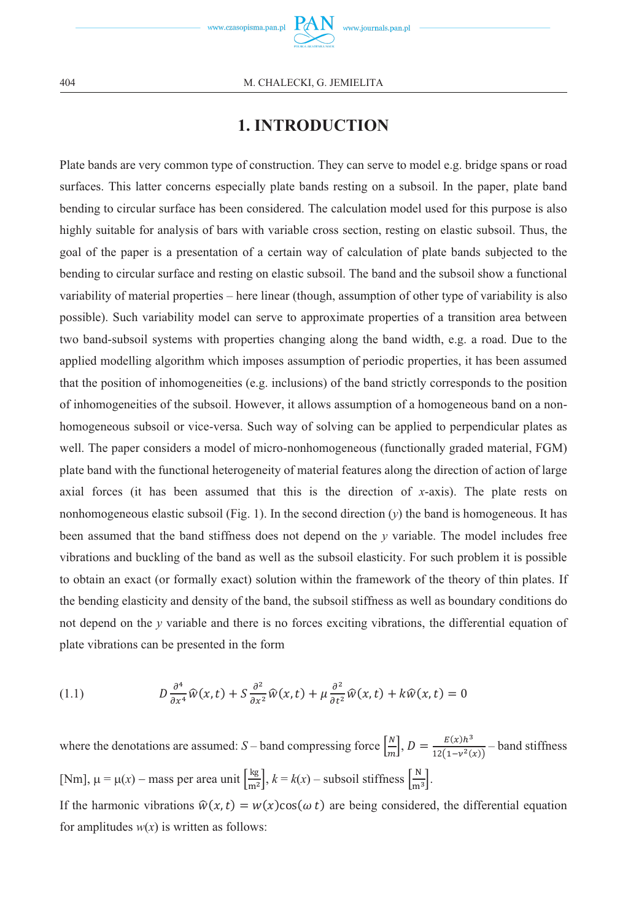

# **1. INTRODUCTION**

Plate bands are very common type of construction. They can serve to model e.g. bridge spans or road surfaces. This latter concerns especially plate bands resting on a subsoil. In the paper, plate band bending to circular surface has been considered. The calculation model used for this purpose is also highly suitable for analysis of bars with variable cross section, resting on elastic subsoil. Thus, the goal of the paper is a presentation of a certain way of calculation of plate bands subjected to the bending to circular surface and resting on elastic subsoil. The band and the subsoil show a functional variability of material properties – here linear (though, assumption of other type of variability is also possible). Such variability model can serve to approximate properties of a transition area between two band-subsoil systems with properties changing along the band width, e.g. a road. Due to the applied modelling algorithm which imposes assumption of periodic properties, it has been assumed that the position of inhomogeneities (e.g. inclusions) of the band strictly corresponds to the position of inhomogeneities of the subsoil. However, it allows assumption of a homogeneous band on a nonhomogeneous subsoil or vice-versa. Such way of solving can be applied to perpendicular plates as well. The paper considers a model of micro-nonhomogeneous (functionally graded material, FGM) plate band with the functional heterogeneity of material features along the direction of action of large axial forces (it has been assumed that this is the direction of *x*-axis). The plate rests on nonhomogeneous elastic subsoil (Fig. 1). In the second direction  $(v)$  the band is homogeneous. It has been assumed that the band stiffness does not depend on the *y* variable. The model includes free vibrations and buckling of the band as well as the subsoil elasticity. For such problem it is possible to obtain an exact (or formally exact) solution within the framework of the theory of thin plates. If the bending elasticity and density of the band, the subsoil stiffness as well as boundary conditions do not depend on the *y* variable and there is no forces exciting vibrations, the differential equation of plate vibrations can be presented in the form

(1.1) 
$$
D \frac{\partial^4}{\partial x^4} \widehat{w}(x,t) + S \frac{\partial^2}{\partial x^2} \widehat{w}(x,t) + \mu \frac{\partial^2}{\partial t^2} \widehat{w}(x,t) + k \widehat{w}(x,t) = 0
$$

where the denotations are assumed: *S* – band compressing force  $\left[\frac{N}{m}\right]$ ,  $D = \frac{E(x)h^3}{12(1-v^2(x))}$  – band stiffness [Nm],  $\mu = \mu(x)$  – mass per area unit  $\left[\frac{\text{kg}}{\text{m}^2}\right]$ ,  $k = k(x)$  – subsoil stiffness  $\left[\frac{\text{N}}{\text{m}^3}\right]$ .

If the harmonic vibrations  $\hat{w}(x,t) = w(x) \cos(\omega t)$  are being considered, the differential equation for amplitudes  $w(x)$  is written as follows: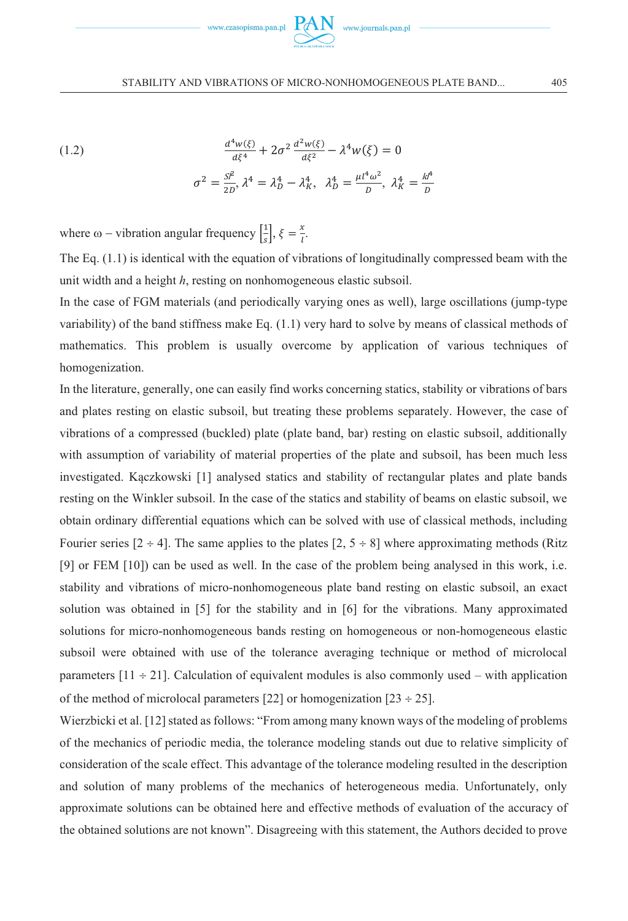

(1.2) 
$$
\frac{d^4w(\xi)}{d\xi^4} + 2\sigma^2 \frac{d^2w(\xi)}{d\xi^2} - \lambda^4 w(\xi) = 0
$$

$$
\sigma^2 = \frac{S^p}{2D}, \lambda^4 = \lambda_D^4 - \lambda_K^4, \ \lambda_D^4 = \frac{\mu l^4 \omega^2}{D}, \ \lambda_K^4 = \frac{k l^4}{D}
$$

where  $\omega$  – vibration angular frequency  $\left[\frac{1}{s}\right]$  $\frac{1}{s}$ ,  $\xi = \frac{x}{l}$ .

The Eq. (1.1) is identical with the equation of vibrations of longitudinally compressed beam with the unit width and a height *h*, resting on nonhomogeneous elastic subsoil.

In the case of FGM materials (and periodically varying ones as well), large oscillations (jump-type variability) of the band stiffness make Eq. (1.1) very hard to solve by means of classical methods of mathematics. This problem is usually overcome by application of various techniques of homogenization.

In the literature, generally, one can easily find works concerning statics, stability or vibrations of bars and plates resting on elastic subsoil, but treating these problems separately. However, the case of vibrations of a compressed (buckled) plate (plate band, bar) resting on elastic subsoil, additionally with assumption of variability of material properties of the plate and subsoil, has been much less investigated. Kączkowski [1] analysed statics and stability of rectangular plates and plate bands resting on the Winkler subsoil. In the case of the statics and stability of beams on elastic subsoil, we obtain ordinary differential equations which can be solved with use of classical methods, including Fourier series  $[2 \div 4]$ . The same applies to the plates  $[2, 5 \div 8]$  where approximating methods (Ritz [9] or FEM [10]) can be used as well. In the case of the problem being analysed in this work, i.e. stability and vibrations of micro-nonhomogeneous plate band resting on elastic subsoil, an exact solution was obtained in [5] for the stability and in [6] for the vibrations. Many approximated solutions for micro-nonhomogeneous bands resting on homogeneous or non-homogeneous elastic subsoil were obtained with use of the tolerance averaging technique or method of microlocal parameters  $[11 \div 21]$ . Calculation of equivalent modules is also commonly used – with application of the method of microlocal parameters [22] or homogenization [23  $\div$  25].

Wierzbicki et al. [12] stated as follows: "From among many known ways of the modeling of problems of the mechanics of periodic media, the tolerance modeling stands out due to relative simplicity of consideration of the scale effect. This advantage of the tolerance modeling resulted in the description and solution of many problems of the mechanics of heterogeneous media. Unfortunately, only approximate solutions can be obtained here and effective methods of evaluation of the accuracy of the obtained solutions are not known". Disagreeing with this statement, the Authors decided to prove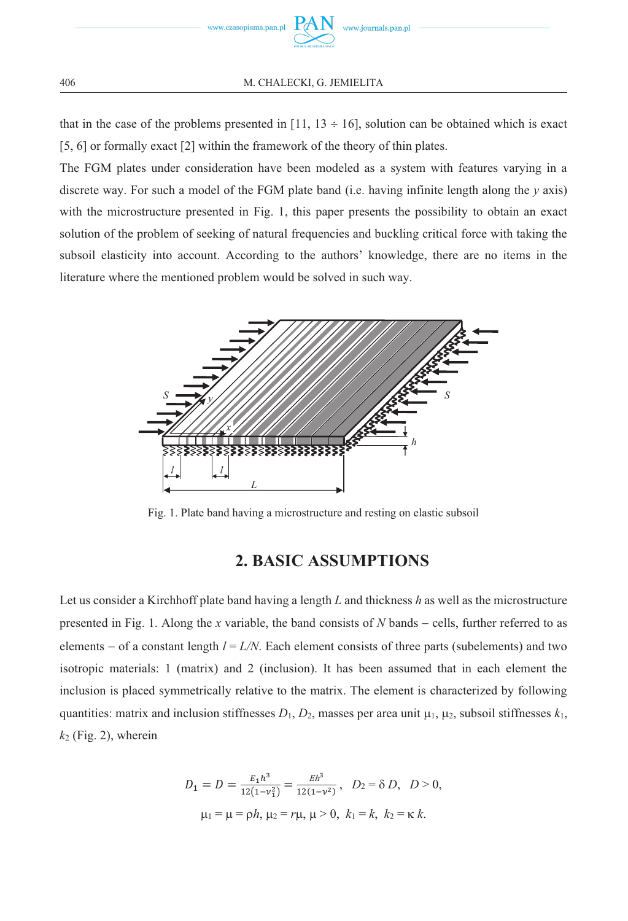

that in the case of the problems presented in [11,  $13 \div 16$ ], solution can be obtained which is exact [5, 6] or formally exact [2] within the framework of the theory of thin plates.

The FGM plates under consideration have been modeled as a system with features varying in a discrete way. For such a model of the FGM plate band (i.e. having infinite length along the *y* axis) with the microstructure presented in Fig. 1, this paper presents the possibility to obtain an exact solution of the problem of seeking of natural frequencies and buckling critical force with taking the subsoil elasticity into account. According to the authors' knowledge, there are no items in the literature where the mentioned problem would be solved in such way.



Fig. 1. Plate band having a microstructure and resting on elastic subsoil

# **2. BASIC ASSUMPTIONS**

Let us consider a Kirchhoff plate band having a length *L* and thickness *h* as well as the microstructure presented in Fig. 1. Along the *x* variable, the band consists of *N* bands – cells, further referred to as elements – of a constant length  $l = L/N$ . Each element consists of three parts (subelements) and two isotropic materials: 1 (matrix) and 2 (inclusion). It has been assumed that in each element the inclusion is placed symmetrically relative to the matrix. The element is characterized by following quantities: matrix and inclusion stiffnesses  $D_1$ ,  $D_2$ , masses per area unit  $\mu_1$ ,  $\mu_2$ , subsoil stiffnesses  $k_1$ ,  $k_2$  (Fig. 2), wherein

$$
D_1 = D = \frac{E_1 h^3}{12(1 - v_1^2)} = \frac{Eh^3}{12(1 - v_1^2)}, \quad D_2 = \delta D, \quad D > 0,
$$
  

$$
\mu_1 = \mu = \rho h, \mu_2 = r\mu, \mu > 0, \quad k_1 = k, \quad k_2 = \kappa \ k.
$$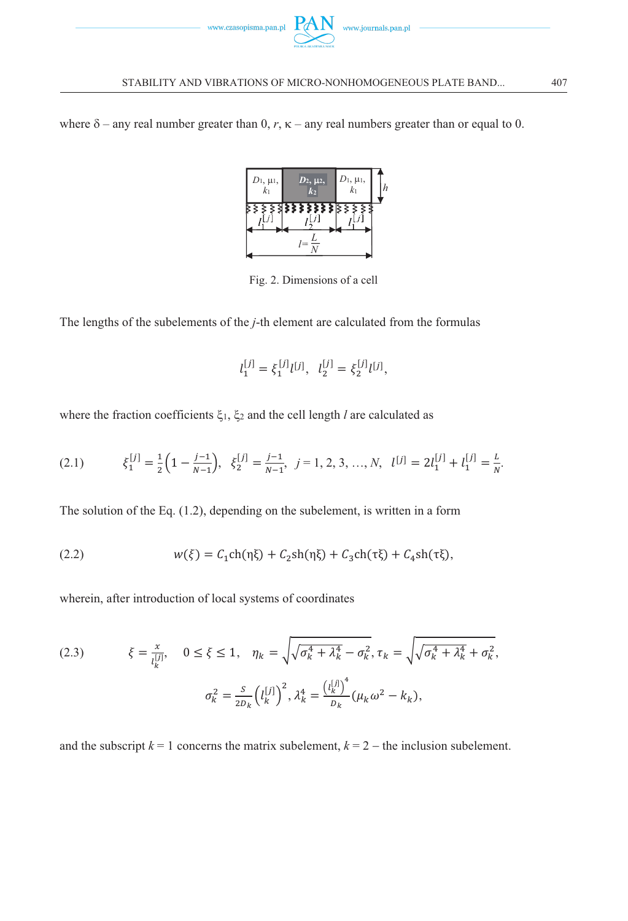

where  $\delta$  – any real number greater than 0,  $r$ ,  $\kappa$  – any real numbers greater than or equal to 0.



Fig. 2. Dimensions of a cell

The lengths of the subelements of the *j*-th element are calculated from the formulas

$$
l_1^{[j]}=\xi_1^{[j]}l^{[j]},\ \ l_2^{[j]}=\xi_2^{[j]}l^{[j]},
$$

where the fraction coefficients ξ<sub>1</sub>, ξ<sub>2</sub> and the cell length *l* are calculated as

$$
(2.1) \t\t \t\t \tilde{\xi}_1^{[j]} = \frac{1}{2} \Big( 1 - \frac{j-1}{N-1} \Big), \quad \tilde{\xi}_2^{[j]} = \frac{j-1}{N-1}, \quad j = 1, 2, 3, ..., N, \quad [l^{[j]} = 2l_1^{[j]} + l_1^{[j]} = \frac{L}{N}.
$$

The solution of the Eq. (1.2), depending on the subelement, is written in a form

(2.2) 
$$
w(\xi) = C_1 \text{ch}(\eta \xi) + C_2 \text{sh}(\eta \xi) + C_3 \text{ch}(\tau \xi) + C_4 \text{sh}(\tau \xi),
$$

wherein, after introduction of local systems of coordinates

(2.3) 
$$
\xi = \frac{x}{l_k^{[j]}}, \quad 0 \le \xi \le 1, \quad \eta_k = \sqrt{\sqrt{\sigma_k^4 + \lambda_k^4} - \sigma_k^2}, \tau_k = \sqrt{\sqrt{\sigma_k^4 + \lambda_k^4} + \sigma_k^2},
$$

$$
\sigma_k^2 = \frac{s}{2\rho_k} \left(l_k^{[j]}\right)^2, \lambda_k^4 = \frac{\left(l_k^{[j]}\right)^4}{\rho_k} (\mu_k \omega^2 - k_k),
$$

and the subscript  $k = 1$  concerns the matrix subelement,  $k = 2 -$  the inclusion subelement.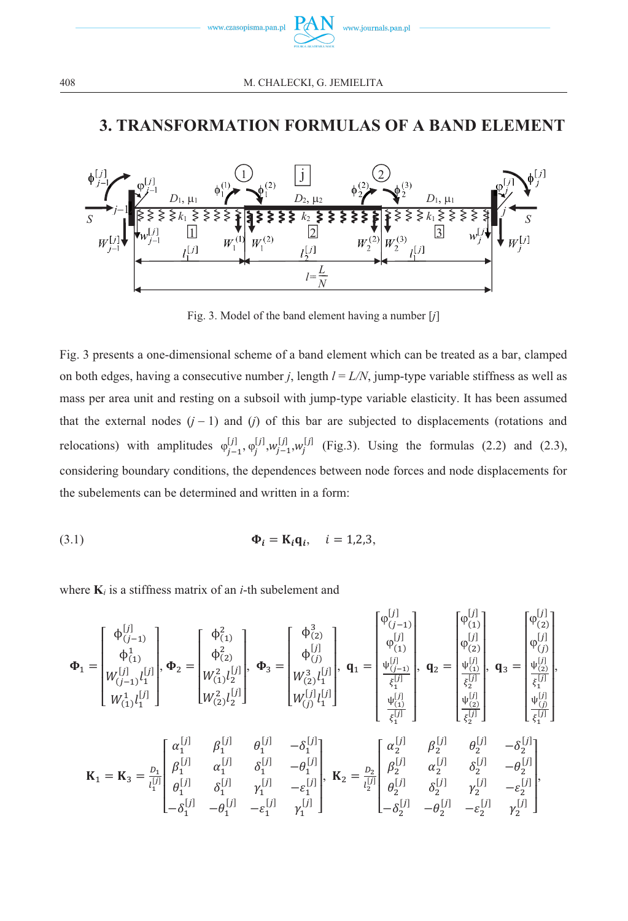

# **3. TRANSFORMATION FORMULAS OF A BAND ELEMENT**



Fig. 3. Model of the band element having a number [*j*]

Fig. 3 presents a one-dimensional scheme of a band element which can be treated as a bar, clamped on both edges, having a consecutive number *j*, length *l* = *L/N*, jump-type variable stiffness as well as mass per area unit and resting on a subsoil with jump-type variable elasticity. It has been assumed that the external nodes  $(j - 1)$  and  $(j)$  of this bar are subjected to displacements (rotations and relocations) with amplitudes  $\varphi_{j-1}^{[j]}, \varphi_j^{[j]}, w_{j-1}^{[j]}, w_j^{[j]}$  (Fig.3). Using the formulas (2.2) and (2.3), considering boundary conditions, the dependences between node forces and node displacements for the subelements can be determined and written in a form:

$$
\Phi_i = \mathbf{K}_i \mathbf{q}_i, \quad i = 1, 2, 3,
$$

where  $\mathbf{K}_i$  is a stiffness matrix of an *i*-th subelement and

$$
\Phi_1 = \begin{bmatrix} \phi_{(j-1)}^{[j]} \\ \phi_{(1)}^1 \\ W_{(j-1)}^{[j]} \end{bmatrix}, \Phi_2 = \begin{bmatrix} \phi_{(1)}^2 \\ \phi_{(2)}^2 \\ W_{(1)}^2 \end{bmatrix}, \Phi_3 = \begin{bmatrix} \phi_{(2)}^3 \\ \phi_{(j)}^{[j]} \\ W_{(2)}^3 \end{bmatrix}, \Phi_4 = \begin{bmatrix} \phi_{(1)}^{[j]} \\ \phi_{(j)}^{[j]} \\ W_{(2)}^{[j]} \end{bmatrix}, \Phi_5 = \begin{bmatrix} \phi_{(2)}^{[j]} \\ \phi_{(j)}^{[j]} \\ W_{(2)}^{[j]} \end{bmatrix}, \Phi_6 = \begin{bmatrix} \phi_{(1)}^{[j]} \\ \phi_{(2)}^{[j]} \\ W_{(2)}^{[j]} \end{bmatrix}, \Phi_7 = \begin{bmatrix} \phi_{(1)}^{[j]} \\ \phi_{(2)}^{[j]} \\ W_{(2)}^{[j]} \end{bmatrix}, \Phi_8 = \begin{bmatrix} \phi_{(2)}^{[j]} \\ \phi_{(3)}^{[j]} \\ W_{(3)}^{[j]} \end{bmatrix}, \Phi_9 = \begin{bmatrix} \phi_{(1)}^{[j]} \\ \phi_{(2)}^{[j]} \\ W_{(3)}^{[j]} \end{bmatrix}, \Phi_1 = \begin{bmatrix} \phi_{(1)}^{[j]} \\ \phi_{(2)}^{[j]} \\ \phi_{(3)}^{[j]} \\ \phi_{(3)}^{[j]} \\ \phi_{(3)}^{[j]} \\ \phi_{(3)}^{[j]} \end{bmatrix}, \Phi_8 = \begin{bmatrix} \phi_{(1)}^{[j]} \\ \phi_{(2)}^{[j]} \\ W_{(3)}^{[j]} \end{bmatrix}, \Phi_9 = \begin{bmatrix} \phi_{(1)}^{[j]} \\ \phi_{(2)}^{[j]} \\ \phi_{(3)}^{[j]} \\ \phi_{(3)}^{[j]} \\ \phi_{(3)}^{[j]} \\ \phi_{(3)}^{[j]} \\ \phi_{(3)}^{[j]} \\ \phi_{(3)}^{[j]} \end{bmatrix}, \Phi_7 = \begin{bmatrix} \phi_{(1)}^{[j]} \\ \phi_{(1)}^{[j]} \\ \phi_{(1)}^{[j]} \\ \phi_{(2)}^{[j]} \\ \phi_{(3)}^{[j]} \\ \phi_{(3)}^{[j]} \\ \phi_{(3)}^{[j]} \end{bmatrix}, \mathbf{K}_9 = \
$$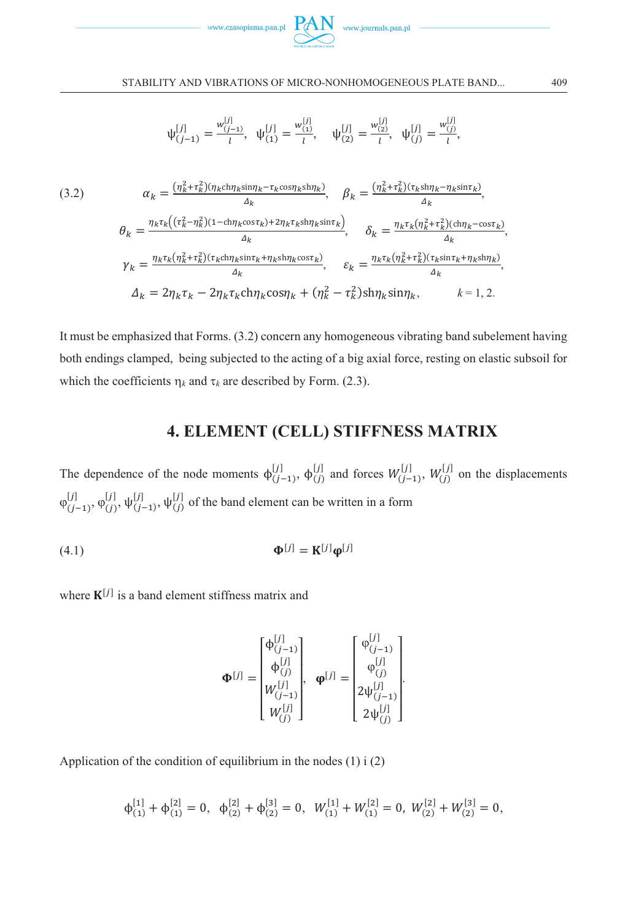



$$
\psi_{(j-1)}^{[j]} = \frac{w_{(j-1)}^{[j]}}{l}, \quad \psi_{(1)}^{[j]} = \frac{w_{(1)}^{[j]}}{l}, \quad \psi_{(2)}^{[j]} = \frac{w_{(2)}^{[j]}}{l}, \quad \psi_{(j)}^{[j]} = \frac{w_{(j)}^{[j]}}{l},
$$

(3.2) 
$$
\alpha_k = \frac{(\eta_k^2 + \tau_k^2)(\eta_k \text{ch}\eta_k \text{sin}\eta_k - \tau_k \text{cos}\eta_k \text{sh}\eta_k)}{\Delta_k}, \quad \beta_k = \frac{(\eta_k^2 + \tau_k^2)(\tau_k \text{sh}\eta_k - \eta_k \text{sin}\tau_k)}{\Delta_k},
$$

$$
\theta_k = \frac{\eta_k \tau_k((\tau_k^2 - \eta_k^2)(1 - \text{ch}\eta_k \text{cos}\tau_k) + 2\eta_k \tau_k \text{sh}\eta_k \text{sin}\tau_k)}{\Delta_k}, \quad \delta_k = \frac{\eta_k \tau_k(\eta_k^2 + \tau_k^2)(\text{ch}\eta_k - \text{cos}\tau_k)}{\Delta_k},
$$

$$
\gamma_k = \frac{\eta_k \tau_k(\eta_k^2 + \tau_k^2)(\tau_k \text{ch}\eta_k \text{sin}\tau_k + \eta_k \text{sh}\eta_k \text{cos}\tau_k)}{\Delta_k}, \quad \varepsilon_k = \frac{\eta_k \tau_k(\eta_k^2 + \tau_k^2)(\tau_k \text{sin}\tau_k + \eta_k \text{sh}\eta_k)}{\Delta_k},
$$

$$
\Delta_k = 2\eta_k \tau_k - 2\eta_k \tau_k \text{ch}\eta_k \text{cos}\eta_k + (\eta_k^2 - \tau_k^2) \text{sh}\eta_k \text{sin}\eta_k, \qquad k = 1, 2.
$$

It must be emphasized that Forms. (3.2) concern any homogeneous vibrating band subelement having both endings clamped, being subjected to the acting of a big axial force, resting on elastic subsoil for which the coefficients  $\eta_k$  and  $\tau_k$  are described by Form. (2.3).

# **4. ELEMENT (CELL) STIFFNESS MATRIX**

The dependence of the node moments  $\phi_{(j-1)}^{[j]}, \phi_{(j)}^{[j]}$  and forces  $W_{(j-1)}^{[j]}, W_{(j)}^{[j]}$  on the displacements  $\varphi_{(j-1)}^{[j]}, \varphi_{(j)}^{[j]}$  $\psi^{[j]}_{(j)}, \psi^{[j]}_{(j-1)}, \psi^{[j]}_{(j)}$  of the band element can be written in a form

$$
\mathbf{\Phi}^{[j]} = \mathbf{K}^{[j]} \mathbf{\phi}^{[j]}
$$

where  $K^{[j]}$  is a band element stiffness matrix and

$$
\mathbf{\Phi}^{[j]} = \begin{bmatrix} \Phi_{(j-1)}^{[j]} \\ \Phi_{(j)}^{[j]} \\ W_{(j-1)}^{[j]} \\ W_{(j)}^{[j]} \end{bmatrix}, \quad \mathbf{\phi}^{[j]} = \begin{bmatrix} \Phi_{(j-1)}^{[j]} \\ \Phi_{(j)}^{[j]} \\ 2\psi_{(j-1)}^{[j]} \\ 2\psi_{(j-1)}^{[j]} \end{bmatrix}.
$$

Application of the condition of equilibrium in the nodes  $(1)$  i  $(2)$ 

$$
\varphi_{(1)}^{[1]} + \varphi_{(1)}^{[2]} = 0, \ \ \varphi_{(2)}^{[2]} + \varphi_{(2)}^{[3]} = 0, \ \ W_{(1)}^{[1]} + W_{(1)}^{[2]} = 0, \ \ W_{(2)}^{[2]} + W_{(2)}^{[3]} = 0,
$$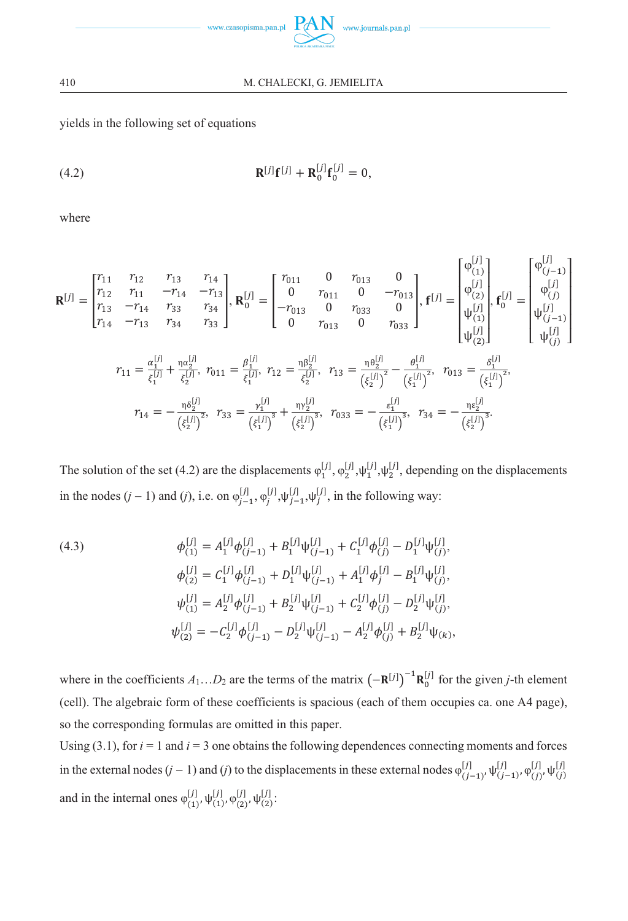

yields in the following set of equations

(4.2) 
$$
\mathbf{R}^{[j]} \mathbf{f}^{[j]} + \mathbf{R}_0^{[j]} \mathbf{f}_0^{[j]} = 0,
$$

where

$$
\mathbf{R}^{[j]} = \begin{bmatrix} r_{11} & r_{12} & r_{13} & r_{14} \\ r_{12} & r_{11} & -r_{14} & -r_{13} \\ r_{13} & -r_{14} & r_{33} & r_{34} \\ r_{14} & -r_{13} & r_{34} & r_{33} \end{bmatrix}, \ \mathbf{R}_{0}^{[j]} = \begin{bmatrix} r_{011} & 0 & r_{013} & 0 \\ 0 & r_{011} & 0 & -r_{013} \\ -r_{013} & 0 & r_{033} & 0 \\ 0 & r_{013} & 0 & r_{033} \end{bmatrix}, \ \mathbf{f}^{[j]} = \begin{bmatrix} \varphi_{(1)}^{[j]} \\ \varphi_{(2)}^{[j]} \\ \psi_{(1)}^{[j]} \\ \psi_{(2)}^{[j]} \end{bmatrix}, \ \mathbf{f}_{0}^{[j]} = \begin{bmatrix} \varphi_{(1)}^{[j]} \\ \varphi_{(2)}^{[j]} \\ \psi_{(1)}^{[j]} \\ \psi_{(2)}^{[j]} \end{bmatrix}
$$

$$
r_{11} = \frac{\alpha_{1}^{[j]} + \frac{\alpha_{2}^{[j]}}{\xi_{2}^{[j]}}, \ r_{011} = \frac{\beta_{1}^{[j]}}{\xi_{1}^{[j]}}, \ r_{12} = \frac{\eta \beta_{2}^{[j]}}{\xi_{2}^{[j]}}, \ r_{13} = \frac{\eta \theta_{2}^{[j]}}{(\xi_{2}^{[j]})^{2}} - \frac{\theta_{1}^{[j]}}{(\xi_{1}^{[j]})^{2}}, \ r_{013} = \frac{\delta_{1}^{[j]}}{(\xi_{1}^{[j]})^{2}},
$$

$$
r_{14} = -\frac{\eta \delta_{2}^{[j]}}{(\xi_{2}^{[j]})^{2}}, \ r_{33} = \frac{r_{1}^{[j]}}{(\xi_{1}^{[j]})^{3}} + \frac{\eta \gamma_{2}^{[j]}}{(\xi_{2}^{[j]})^{3}}, \ r_{033} = -\frac{\epsilon_{1}^{[j]}}{(\xi_{1}^{[j]})^{3}}, \ r_{34} = -\frac{\eta \epsilon_{2}^{[j]}}{(\xi_{2}^{[j]})^{3}}.
$$

The solution of the set (4.2) are the displacements  $\varphi_1^{[j]}, \varphi_2^{[j]}, \psi_1^{[j]}, \psi_2^{[j]}$ , depending on the displacements in the nodes  $(j-1)$  and  $(j)$ , i.e. on  $\varphi_{j-1}^{[j]}, \varphi_j^{[j]}, \psi_j^{[j]}, \varphi_j^{[j]},$  in the following way:

(4.3)  
\n
$$
\phi_{(1)}^{[j]} = A_1^{[j]} \phi_{(j-1)}^{[j]} + B_1^{[j]} \psi_{(j-1)}^{[j]} + C_1^{[j]} \phi_{(j)}^{[j]} - D_1^{[j]} \psi_{(j)}^{[j]},
$$
\n
$$
\phi_{(2)}^{[j]} = C_1^{[j]} \phi_{(j-1)}^{[j]} + D_1^{[j]} \psi_{(j-1)}^{[j]} + A_1^{[j]} \phi_{j}^{[j]} - B_1^{[j]} \psi_{(j)}^{[j]},
$$
\n
$$
\psi_{(1)}^{[j]} = A_2^{[j]} \phi_{(j-1)}^{[j]} + B_2^{[j]} \psi_{(j-1)}^{[j]} + C_2^{[j]} \phi_{(j)}^{[j]} - D_2^{[j]} \psi_{(j)}^{[j]},
$$
\n
$$
\psi_{(2)}^{[j]} = -C_2^{[j]} \phi_{(j-1)}^{[j]} - D_2^{[j]} \psi_{(j-1)}^{[j]} - A_2^{[j]} \phi_{(j)}^{[j]} + B_2^{[j]} \psi_{(k)},
$$

where in the coefficients  $A_1...D_2$  are the terms of the matrix  $(-\mathbf{R}^{[j]})^{-1}\mathbf{R}_0^{[j]}$  for the given *j*-th element (cell). The algebraic form of these coefficients is spacious (each of them occupies ca. one A4 page), so the corresponding formulas are omitted in this paper.

Using  $(3.1)$ , for  $i = 1$  and  $i = 3$  one obtains the following dependences connecting moments and forces in the external nodes  $(j-1)$  and  $(j)$  to the displacements in these external nodes  $\varphi_{(j-1)}^{[j]}, \psi_{(j-1)}^{[j]}, \varphi_{(j)}^{[j]}, \psi_{(j)}^{[j]}$ and in the internal ones  $\varphi_{(1)}^{[j]}, \psi_{(1)}^{[j]}, \varphi_{(2)}^{[j]}, \psi_{(2)}^{[j]}$ :

410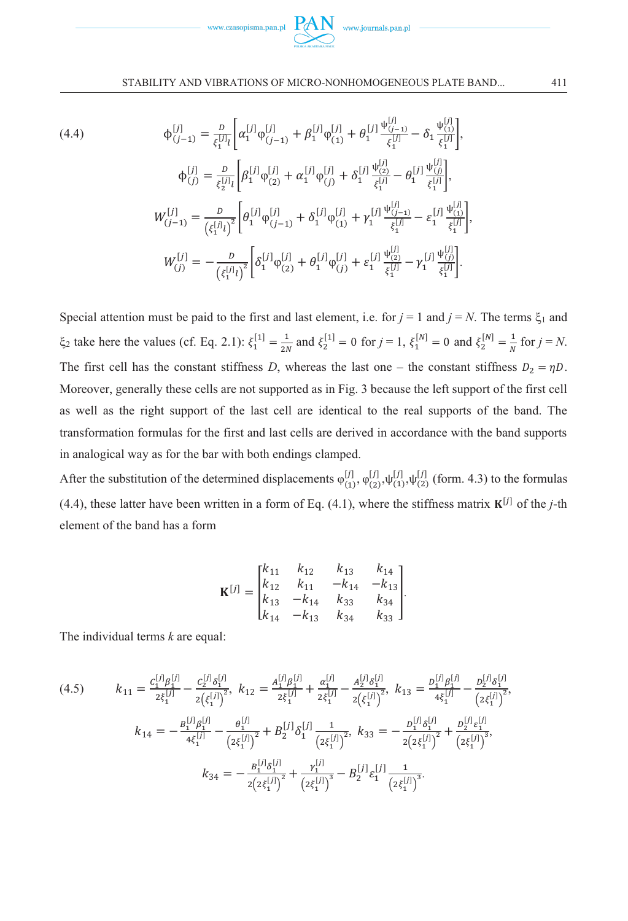

(4.4)  
\n
$$
\begin{aligned}\n\phi_{(j-1)}^{[J]} &= \frac{D}{\xi_1^{[J]}i} \bigg[ \alpha_1^{[J]} \varphi_{(j-1)}^{[J]} + \beta_1^{[J]} \varphi_{(1)}^{[J]} + \theta_1^{[J]} \frac{\psi_{(j-1)}^{[J]}}{\xi_1^{[J]}} - \delta_1 \frac{\psi_{(1)}^{[J]}}{\xi_1^{[J]}} \bigg], \\
\phi_{(j)}^{[J]} &= \frac{D}{\xi_2^{[J]}i} \bigg[ \beta_1^{[J]} \varphi_{(2)}^{[J]} + \alpha_1^{[J]} \varphi_{(j)}^{[J]} + \delta_1^{[J]} \frac{\psi_{(2)}^{[J]}}{\xi_1^{[J]}} - \theta_1^{[J]} \frac{\psi_{(j)}^{[J]}}{\xi_1^{[J]}} \bigg], \\
W_{(j-1)}^{[J]} &= \frac{D}{\left(\xi_1^{[J]}i\right)^2} \bigg[ \theta_1^{[J]} \varphi_{(j-1)}^{[J]} + \delta_1^{[J]} \varphi_{(1)}^{[J]} + \gamma_1^{[J]} \frac{\psi_{(j-1)}^{[J]}}{\xi_1^{[J]}} - \varepsilon_1^{[J]} \frac{\psi_{(1)}^{[J]}}{\xi_1^{[J]}} \bigg], \\
W_{(j)}^{[J]} &= -\frac{D}{\left(\xi_1^{[J]}i\right)^2} \bigg[ \delta_1^{[J]} \varphi_{(2)}^{[J]} + \theta_1^{[J]} \varphi_{(j)}^{[J]} + \varepsilon_1^{[J]} \frac{\psi_{(2)}^{[J]}}{\xi_1^{[J]}} - \gamma_1^{[J]} \frac{\psi_{(j)}^{[J]}}{\xi_1^{[J]}} \bigg].\n\end{aligned}
$$

Special attention must be paid to the first and last element, i.e. for  $j = 1$  and  $j = N$ . The terms  $\xi_1$  and  $\xi_2$  take here the values (cf. Eq. 2.1):  $\xi_1^{[1]} = \frac{1}{2N}$  and  $\xi_2^{[1]} = 0$  for  $j = 1$ ,  $\xi_1^{[N]} = 0$  and  $\xi_2^{[N]} = \frac{1}{N}$  for  $j = N$ . The first cell has the constant stiffness *D*, whereas the last one – the constant stiffness  $D_2 = \eta D$ . Moreover, generally these cells are not supported as in Fig. 3 because the left support of the first cell as well as the right support of the last cell are identical to the real supports of the band. The transformation formulas for the first and last cells are derived in accordance with the band supports in analogical way as for the bar with both endings clamped.

After the substitution of the determined displacements  $\varphi_{(1)}^{[j]}, \varphi_{(2)}^{[j]}, \psi_{(1)}^{[j]}, \psi_{(2)}^{[j]}$  (form. 4.3) to the formulas (4.4), these latter have been written in a form of Eq. (4.1), where the stiffness matrix  $\mathbf{K}^{[j]}$  of the *j*-th element of the band has a form

$$
\mathbf{K}^{[j]} = \begin{bmatrix} k_{11} & k_{12} & k_{13} & k_{14} \\ k_{12} & k_{11} & -k_{14} & -k_{13} \\ k_{13} & -k_{14} & k_{33} & k_{34} \\ k_{14} & -k_{13} & k_{34} & k_{33} \end{bmatrix}.
$$

The individual terms *k* are equal:

$$
(4.5) \t k_{11} = \frac{c_1^{[J]} \beta_1^{[J]}}{2\xi_1^{[J]}} - \frac{c_2^{[J]} \delta_1^{[J]}}{2(\xi_1^{[J]})^2}, \t k_{12} = \frac{A_1^{[J]} \beta_1^{[J]}}{2\xi_1^{[J]}} + \frac{\alpha_1^{[J]}}{2\xi_1^{[J]}} - \frac{A_2^{[J]} \delta_1^{[J]}}{2(\xi_1^{[J]})^2}, \t k_{13} = \frac{D_1^{[J]} \beta_1^{[J]}}{4\xi_1^{[J]}} - \frac{D_2^{[J]} \delta_1^{[J]}}{(2\xi_1^{[J]})^2},
$$
  

$$
k_{14} = -\frac{B_1^{[J]} \beta_1^{[J]}}{4\xi_1^{[J]}} - \frac{\theta_1^{[J]}}{(2\xi_1^{[J]})^2} + B_2^{[J]} \delta_1^{[J]} \frac{1}{(2\xi_1^{[J]})^2}, \t k_{33} = -\frac{D_1^{[J]} \delta_1^{[J]}}{2(2\xi_1^{[J]})^2} + \frac{D_2^{[J]} \epsilon_1^{[J]}}{(2\xi_1^{[J]})^3},
$$
  

$$
k_{34} = -\frac{B_1^{[J]} \delta_1^{[J]}}{2(2\xi_1^{[J]})^2} + \frac{\gamma_1^{[J]}}{(2\xi_1^{[J]})^3} - B_2^{[J]} \epsilon_1^{[J]} \frac{1}{(2\xi_1^{[J]})^3}.
$$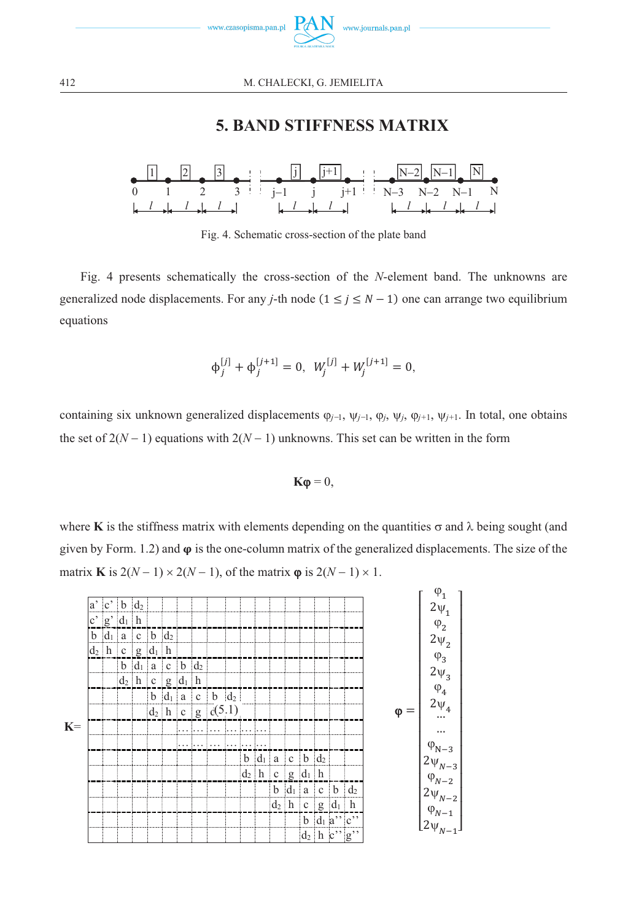

12 M. CHALECKI, G. JEMIELITA

# **5. BAND STIFFNESS MATRIX**



Fig. 4. Schematic cross-section of the plate band

Fig. 4 presents schematically the cross-section of the *N*-element band. The unknowns are generalized node displacements. For any *j*-th node  $(1 \le j \le N - 1)$  one can arrange two equilibrium equations

$$
\Phi_j^{[j]} + \Phi_j^{[j+1]} = 0, \ \ W_j^{[j]} + W_j^{[j+1]} = 0,
$$

containing six unknown generalized displacements  $\varphi_{j-1}$ ,  $\psi_{j-1}$ ,  $\varphi_j$ ,  $\psi_j$ ,  $\varphi_{j+1}$ ,  $\psi_{j+1}$ . In total, one obtains the set of  $2(N-1)$  equations with  $2(N-1)$  unknowns. This set can be written in the form

$$
\mathbf{K}\boldsymbol{\varphi}=0,
$$

where **K** is the stiffness matrix with elements depending on the quantities  $\sigma$  and  $\lambda$  being sought (and given by Form. 1.2) and  $\varphi$  is the one-column matrix of the generalized displacements. The size of the matrix **K** is  $2(N-1) \times 2(N-1)$ , of the matrix  $\varphi$  is  $2(N-1) \times 1$ .

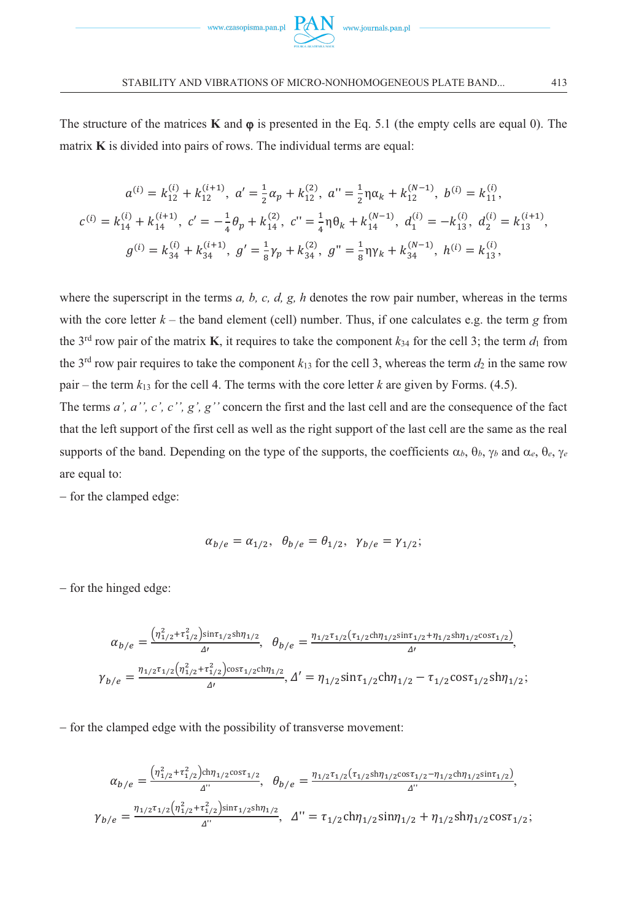

The structure of the matrices  $\bf{K}$  and  $\bf{\varphi}$  is presented in the Eq. 5.1 (the empty cells are equal 0). The matrix **K** is divided into pairs of rows. The individual terms are equal:

$$
a^{(i)} = k_{12}^{(i)} + k_{12}^{(i+1)}, \ a' = \frac{1}{2}\alpha_p + k_{12}^{(2)}, \ a'' = \frac{1}{2}\eta\alpha_k + k_{12}^{(N-1)}, \ b^{(i)} = k_{11}^{(i)},
$$
  

$$
c^{(i)} = k_{14}^{(i)} + k_{14}^{(i+1)}, \ c' = -\frac{1}{4}\theta_p + k_{14}^{(2)}, \ c'' = \frac{1}{4}\eta\theta_k + k_{14}^{(N-1)}, \ d_1^{(i)} = -k_{13}^{(i)}, \ d_2^{(i)} = k_{13}^{(i+1)},
$$
  

$$
g^{(i)} = k_{34}^{(i)} + k_{34}^{(i+1)}, \ g' = \frac{1}{8}\gamma_p + k_{34}^{(2)}, \ g'' = \frac{1}{8}\eta\gamma_k + k_{34}^{(N-1)}, \ h^{(i)} = k_{13}^{(i)},
$$

where the superscript in the terms *a, b, c, d, g, h* denotes the row pair number, whereas in the terms with the core letter  $k -$  the band element (cell) number. Thus, if one calculates e.g. the term  $g$  from the 3<sup>rd</sup> row pair of the matrix **K**, it requires to take the component  $k_{34}$  for the cell 3; the term  $d_1$  from the 3<sup>rd</sup> row pair requires to take the component  $k_{13}$  for the cell 3, whereas the term  $d_2$  in the same row pair – the term  $k_{13}$  for the cell 4. The terms with the core letter *k* are given by Forms. (4.5).

The terms *a', a'', c', c'', g', g''* concern the first and the last cell and are the consequence of the fact that the left support of the first cell as well as the right support of the last cell are the same as the real supports of the band. Depending on the type of the supports, the coefficients  $\alpha_b$ ,  $\theta_b$ ,  $\gamma_b$  and  $\alpha_e$ ,  $\theta_e$ ,  $\gamma_e$ are equal to:

- for the clamped edge:

$$
\alpha_{b/e} = \alpha_{1/2}, \ \theta_{b/e} = \theta_{1/2}, \ \gamma_{b/e} = \gamma_{1/2};
$$

- for the hinged edge:

$$
\alpha_{b/e} = \frac{\left(\eta_{1/2}^2 + \tau_{1/2}^2\right) \sin \tau_{1/2} \sin \eta_{1/2}}{\Delta t}, \quad \theta_{b/e} = \frac{\eta_{1/2} \tau_{1/2} (\tau_{1/2} \text{ch} \eta_{1/2} \text{sin} \tau_{1/2} + \eta_{1/2} \text{sh} \eta_{1/2} \text{cos} \tau_{1/2})}{\Delta t},
$$
\n
$$
\gamma_{b/e} = \frac{\eta_{1/2} \tau_{1/2} \left(\eta_{1/2}^2 + \tau_{1/2}^2\right) \cos \tau_{1/2} \text{ch} \eta_{1/2}}{\Delta t}, \quad \Delta' = \eta_{1/2} \sin \tau_{1/2} \text{ch} \eta_{1/2} - \tau_{1/2} \cos \tau_{1/2} \text{sh} \eta_{1/2};
$$

- for the clamped edge with the possibility of transverse movement:

$$
\alpha_{b/e} = \frac{\left(\eta_{1/2}^2 + \tau_{1/2}^2\right) \text{ch}\eta_{1/2} \text{cos}\tau_{1/2}}{\Delta^{\prime\prime}}, \quad \theta_{b/e} = \frac{\eta_{1/2}\tau_{1/2}(\tau_{1/2} \text{sh}\eta_{1/2} \text{cos}\tau_{1/2} - \eta_{1/2} \text{ch}\eta_{1/2} \text{sin}\tau_{1/2})}{\Delta^{\prime\prime}},
$$
\n
$$
\gamma_{b/e} = \frac{\eta_{1/2}\tau_{1/2}\left(\eta_{1/2}^2 + \tau_{1/2}^2\right) \text{sin}\tau_{1/2} \text{sh}\eta_{1/2}}{\Delta^{\prime\prime}}, \quad \Delta^{\prime\prime} = \tau_{1/2} \text{ch}\eta_{1/2} \text{sin}\eta_{1/2} + \eta_{1/2} \text{sh}\eta_{1/2} \text{cos}\tau_{1/2};
$$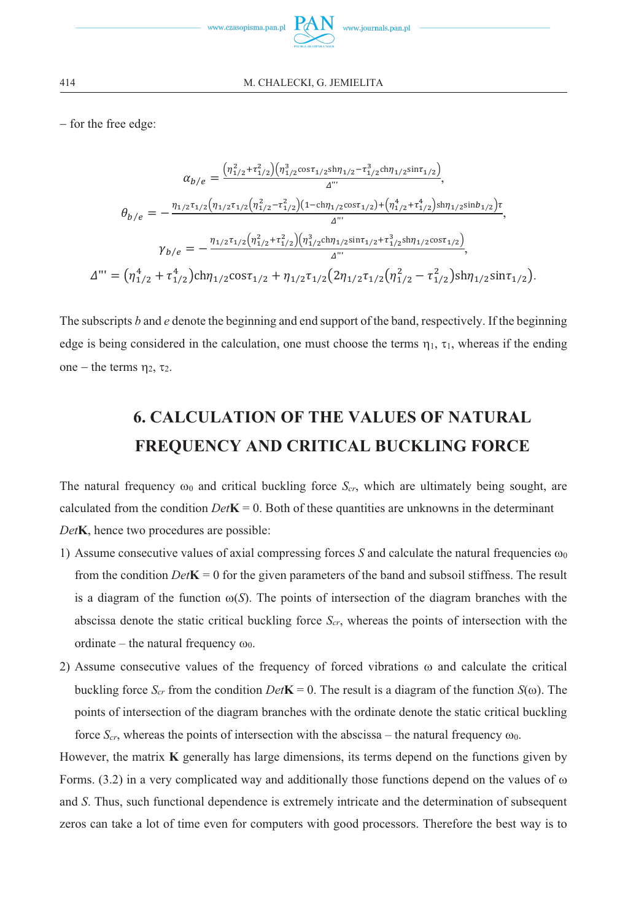

- for the free edge:

$$
\alpha_{b/e} = \frac{\left(\eta_{1/2}^2 + \tau_{1/2}^2\right)\left(\eta_{1/2}^3 \cos \tau_{1/2} \sin \eta_{1/2} - \tau_{1/2}^3 \sin \tau_{1/2}\right)}{\Delta^{\cdots}},
$$
\n
$$
\theta_{b/e} = -\frac{\eta_{1/2} \tau_{1/2} \left(\eta_{1/2} \tau_{1/2} \left(\eta_{1/2}^2 - \tau_{1/2}^2\right)\left(1 - \text{ch}\eta_{1/2} \cos \tau_{1/2}\right) + \left(\eta_{1/2}^4 + \tau_{1/2}^4\right) \sin \eta_{1/2} \sin b_{1/2}\right)\tau}{\Delta^{\cdots}},
$$
\n
$$
\gamma_{b/e} = -\frac{\eta_{1/2} \tau_{1/2} \left(\eta_{1/2}^2 + \tau_{1/2}^2\right)\left(\eta_{1/2}^3 \sin \tau_{1/2} \sin \tau_{1/2} + \tau_{1/2}^3 \sin \eta_{1/2} \cos \tau_{1/2}\right)}{\Delta^{\cdots}},
$$
\n
$$
\Delta^{\cdots} = \left(\eta_{1/2}^4 + \tau_{1/2}^4\right) \text{ch} \eta_{1/2} \text{cos} \tau_{1/2} + \eta_{1/2} \tau_{1/2} \left(2 \eta_{1/2} \tau_{1/2} \left(\eta_{1/2}^2 - \tau_{1/2}^2\right) \sin \eta_{1/2} \sin \tau_{1/2}\right).
$$

The subscripts *b* and *e* denote the beginning and end support of the band, respectively. If the beginning edge is being considered in the calculation, one must choose the terms  $\eta_1$ ,  $\tau_1$ , whereas if the ending one – the terms  $\eta_2$ ,  $\tau_2$ .

# **6. CALCULATION OF THE VALUES OF NATURAL FREQUENCY AND CRITICAL BUCKLING FORCE**

The natural frequency  $\omega_0$  and critical buckling force  $S_{cr}$ , which are ultimately being sought, are calculated from the condition  $Det\mathbf{K} = 0$ . Both of these quantities are unknowns in the determinant *Det***K**, hence two procedures are possible:

- 1) Assume consecutive values of axial compressing forces *S* and calculate the natural frequencies  $\omega_0$ from the condition  $Det\mathbf{K} = 0$  for the given parameters of the band and subsoil stiffness. The result is a diagram of the function  $\omega(S)$ . The points of intersection of the diagram branches with the abscissa denote the static critical buckling force *Scr*, whereas the points of intersection with the ordinate – the natural frequency  $\omega_0$ .
- 2) Assume consecutive values of the frequency of forced vibrations  $\omega$  and calculate the critical buckling force  $S_{cr}$  from the condition  $Det\mathbf{K} = 0$ . The result is a diagram of the function  $S(\omega)$ . The points of intersection of the diagram branches with the ordinate denote the static critical buckling force  $S_{cr}$ , whereas the points of intersection with the abscissa – the natural frequency  $\omega_0$ .

However, the matrix **K** generally has large dimensions, its terms depend on the functions given by Forms.  $(3.2)$  in a very complicated way and additionally those functions depend on the values of  $\omega$ and *S*. Thus, such functional dependence is extremely intricate and the determination of subsequent zeros can take a lot of time even for computers with good processors. Therefore the best way is to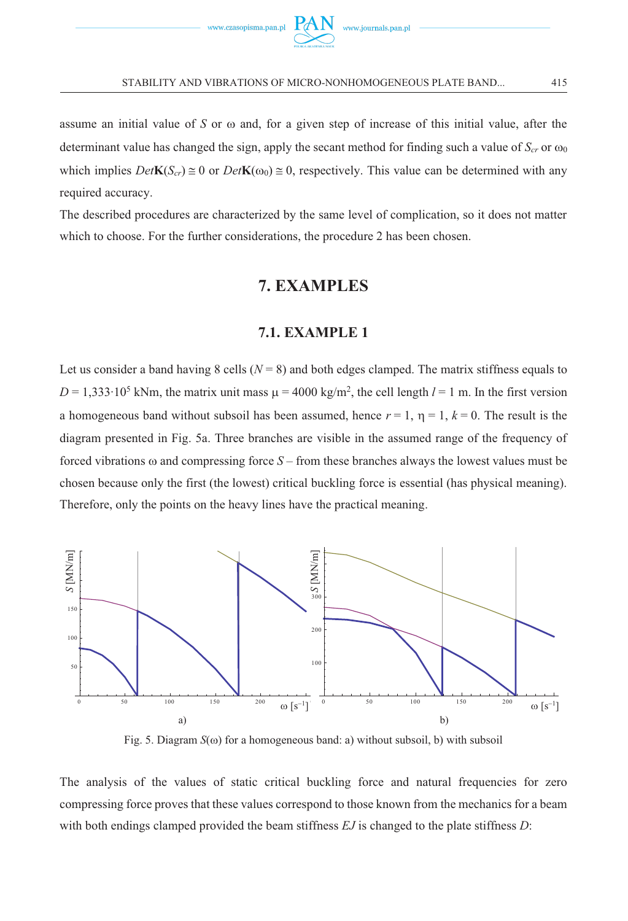

assume an initial value of *S* or  $\omega$  and, for a given step of increase of this initial value, after the determinant value has changed the sign, apply the secant method for finding such a value of  $S_{cr}$  or  $\omega_0$ which implies  $Det\mathbf{K}(S_{cr}) \cong 0$  or  $Det\mathbf{K}(\omega_0) \cong 0$ , respectively. This value can be determined with any required accuracy.

The described procedures are characterized by the same level of complication, so it does not matter which to choose. For the further considerations, the procedure 2 has been chosen.

# **7. EXAMPLES**

#### **7.1. EXAMPLE 1**

Let us consider a band having 8 cells  $(N = 8)$  and both edges clamped. The matrix stiffness equals to  $D = 1,333 \cdot 10^5$  kNm, the matrix unit mass  $\mu = 4000$  kg/m<sup>2</sup>, the cell length  $l = 1$  m. In the first version a homogeneous band without subsoil has been assumed, hence  $r = 1$ ,  $\eta = 1$ ,  $k = 0$ . The result is the diagram presented in Fig. 5a. Three branches are visible in the assumed range of the frequency of forced vibrations  $\omega$  and compressing force  $S$  – from these branches always the lowest values must be chosen because only the first (the lowest) critical buckling force is essential (has physical meaning). Therefore, only the points on the heavy lines have the practical meaning.



Fig. 5. Diagram  $S(\omega)$  for a homogeneous band: a) without subsoil, b) with subsoil

The analysis of the values of static critical buckling force and natural frequencies for zero compressing force proves that these values correspond to those known from the mechanics for a beam with both endings clamped provided the beam stiffness *EJ* is changed to the plate stiffness *D*: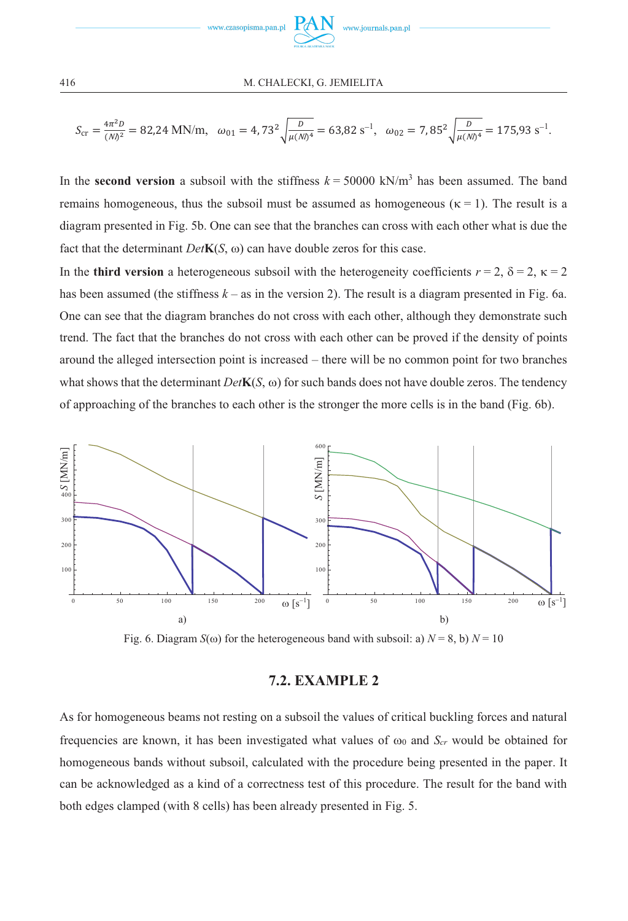

$$
S_{\rm cr} = \frac{4\pi^2 D}{(Nl)^2} = 82,24 \text{ MN/m}, \quad \omega_{01} = 4,73^2 \sqrt{\frac{D}{\mu (Nl)^4}} = 63,82 \text{ s}^{-1}, \quad \omega_{02} = 7,85^2 \sqrt{\frac{D}{\mu (Nl)^4}} = 175,93 \text{ s}^{-1}.
$$

In the **second version** a subsoil with the stiffness  $k = 50000 \text{ kN/m}^3$  has been assumed. The band remains homogeneous, thus the subsoil must be assumed as homogeneous ( $\kappa = 1$ ). The result is a diagram presented in Fig. 5b. One can see that the branches can cross with each other what is due the fact that the determinant  $Det$ **K**( $S$ ,  $\omega$ ) can have double zeros for this case.

In the **third version** a heterogeneous subsoil with the heterogeneity coefficients  $r = 2$ ,  $\delta = 2$ ,  $\kappa = 2$ has been assumed (the stiffness  $k -$ as in the version 2). The result is a diagram presented in Fig. 6a. One can see that the diagram branches do not cross with each other, although they demonstrate such trend. The fact that the branches do not cross with each other can be proved if the density of points around the alleged intersection point is increased – there will be no common point for two branches what shows that the determinant  $Det$ **K**( $S$ ,  $\omega$ ) for such bands does not have double zeros. The tendency of approaching of the branches to each other is the stronger the more cells is in the band (Fig. 6b).



Fig. 6. Diagram  $S(\omega)$  for the heterogeneous band with subsoil: a)  $N = 8$ , b)  $N = 10$ 

# **7.2. EXAMPLE 2**

As for homogeneous beams not resting on a subsoil the values of critical buckling forces and natural frequencies are known, it has been investigated what values of  $\omega_0$  and  $S_{cr}$  would be obtained for homogeneous bands without subsoil, calculated with the procedure being presented in the paper. It can be acknowledged as a kind of a correctness test of this procedure. The result for the band with both edges clamped (with 8 cells) has been already presented in Fig. 5.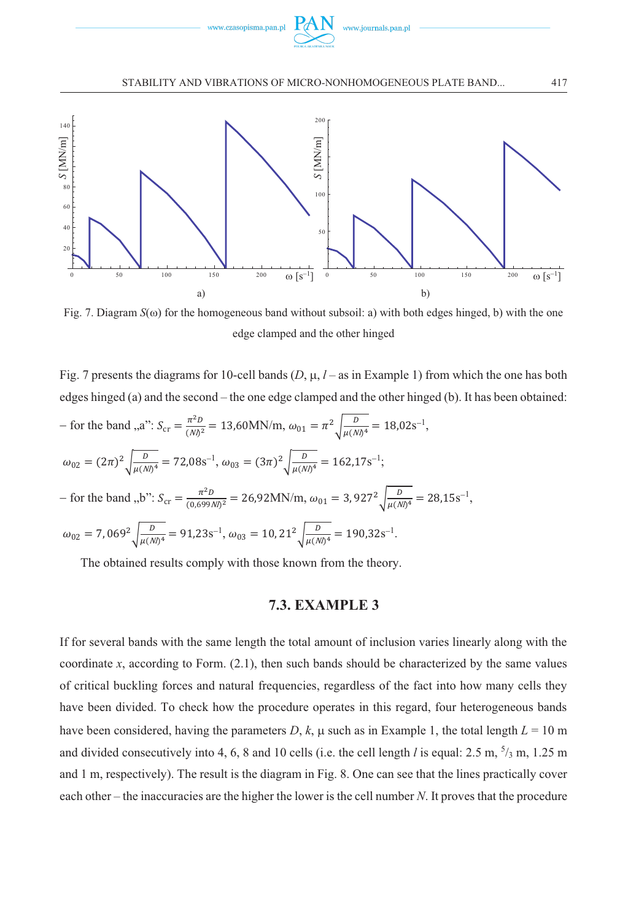

STABILITY AND VIBRATIONS OF MICRO-NONHOMOGENEOUS PLATE BAND... 4



Fig. 7. Diagram  $S(\omega)$  for the homogeneous band without subsoil: a) with both edges hinged, b) with the one edge clamped and the other hinged

Fig. 7 presents the diagrams for 10-cell bands  $(D, \mu, l - \text{as in Example 1})$  from which the one has both edges hinged (a) and the second – the one edge clamped and the other hinged (b). It has been obtained: - for the band ,,a":  $S_{cr} = \frac{\pi^2 D}{(Nl)^2} = 13,60$ MN/m,  $\omega_{01} = \pi^2 \sqrt{\frac{D}{\mu(Nl)^4}} = 18,02$ s<sup>-1</sup>,  $\omega_{02} = (2\pi)^2 \sqrt{\frac{D}{\mu (N/)^4}} = 72{,}08 \text{s}^{-1}, \omega_{03} = (3\pi)^2 \sqrt{\frac{D}{\mu (N/)^4}} = 162{,}17 \text{s}^{-1};$ - for the band ,,b":  $S_{cr} = \frac{\pi^2 D}{(0.699M)^2} = 26.92 \text{MN/m}, \omega_{01} = 3.927^2 \sqrt{\frac{D}{\mu (M)^4}} = 28.15 \text{s}^{-1},$  $\omega_{02} = 7,069^2 \sqrt{\frac{D}{\mu (Nl)^4}} = 91,23s^{-1}, \omega_{03} = 10,21^2 \sqrt{\frac{D}{\mu (Nl)^4}} = 190,32s^{-1}.$ 

The obtained results comply with those known from the theory.

#### **7.3. EXAMPLE 3**

If for several bands with the same length the total amount of inclusion varies linearly along with the coordinate *x*, according to Form. (2.1), then such bands should be characterized by the same values of critical buckling forces and natural frequencies, regardless of the fact into how many cells they have been divided. To check how the procedure operates in this regard, four heterogeneous bands have been considered, having the parameters  $D$ ,  $k$ ,  $\mu$  such as in Example 1, the total length  $L = 10$  m and divided consecutively into 4, 6, 8 and 10 cells (i.e. the cell length *l* is equal: 2.5 m, <sup>5</sup>/<sub>3</sub> m, 1.25 m and 1 m, respectively). The result is the diagram in Fig. 8. One can see that the lines practically cover each other – the inaccuracies are the higher the lower is the cell number *N*. It proves that the procedure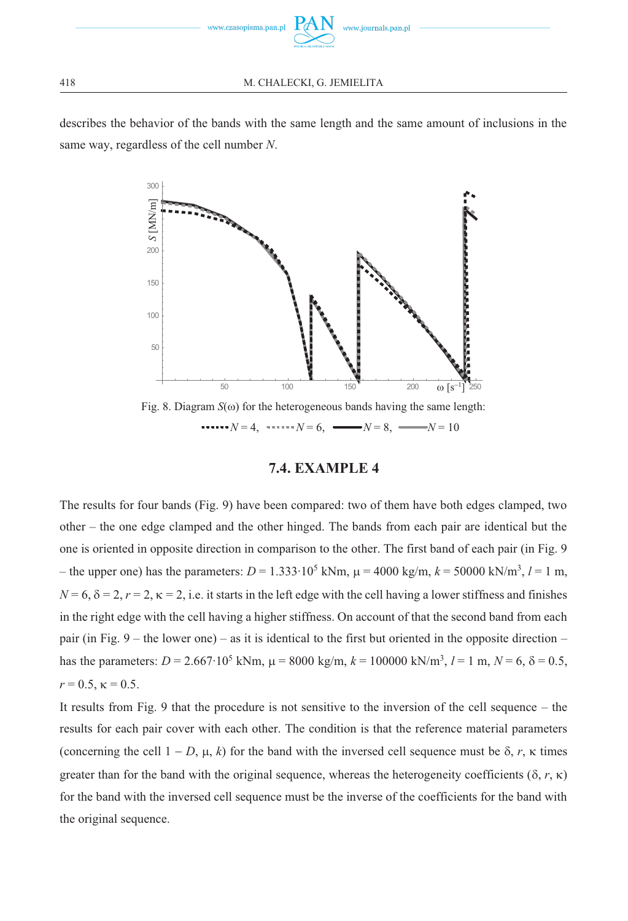

describes the behavior of the bands with the same length and the same amount of inclusions in the same way, regardless of the cell number *N*.



 $N = 4$ ,  $N = 6$ ,  $N = 8$ ,  $N = 10$ 

#### **7.4. EXAMPLE 4**

The results for four bands (Fig. 9) have been compared: two of them have both edges clamped, two other – the one edge clamped and the other hinged. The bands from each pair are identical but the one is oriented in opposite direction in comparison to the other. The first band of each pair (in Fig. 9 – the upper one) has the parameters:  $D = 1.333 \cdot 10^5$  kNm,  $\mu = 4000$  kg/m,  $k = 50000$  kN/m<sup>3</sup>,  $l = 1$  m,  $N = 6$ ,  $\delta = 2$ ,  $r = 2$ ,  $\kappa = 2$ , i.e. it starts in the left edge with the cell having a lower stiffness and finishes in the right edge with the cell having a higher stiffness. On account of that the second band from each pair (in Fig.  $9$  – the lower one) – as it is identical to the first but oriented in the opposite direction – has the parameters: *D* = 2.667⋅10<sup>5</sup> kNm,  $\mu$  = 8000 kg/m,  $k$  = 100000 kN/m<sup>3</sup>, *l* = 1 m, *N* = 6, δ = 0.5,  $r = 0.5$ ,  $\kappa = 0.5$ .

It results from Fig. 9 that the procedure is not sensitive to the inversion of the cell sequence – the results for each pair cover with each other. The condition is that the reference material parameters (concerning the cell  $1 - D$ ,  $\mu$ ,  $k$ ) for the band with the inversed cell sequence must be  $\delta$ ,  $r$ ,  $\kappa$  times greater than for the band with the original sequence, whereas the heterogeneity coefficients ( $\delta$ ,  $r$ ,  $\kappa$ ) for the band with the inversed cell sequence must be the inverse of the coefficients for the band with the original sequence.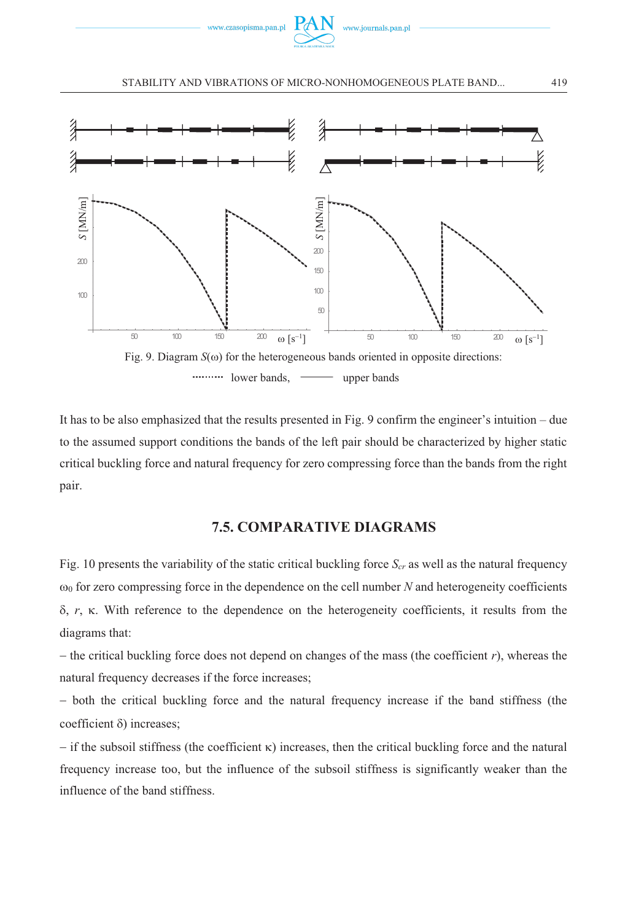

#### STABILITY AND VIBRATIONS OF MICRO-NONHOMOGENEOUS PLATE BAND... 4



It has to be also emphasized that the results presented in Fig. 9 confirm the engineer's intuition – due to the assumed support conditions the bands of the left pair should be characterized by higher static critical buckling force and natural frequency for zero compressing force than the bands from the right pair.

### **7.5. COMPARATIVE DIAGRAMS**

Fig. 10 presents the variability of the static critical buckling force  $S_{cr}$  as well as the natural frequency  $\omega_0$  for zero compressing force in the dependence on the cell number *N* and heterogeneity coefficients  $\delta$ ,  $r$ ,  $\kappa$ . With reference to the dependence on the heterogeneity coefficients, it results from the diagrams that:

- the critical buckling force does not depend on changes of the mass (the coefficient *r*), whereas the natural frequency decreases if the force increases;

- both the critical buckling force and the natural frequency increase if the band stiffness (the coefficient  $\delta$ ) increases;

 $-$  if the subsoil stiffness (the coefficient  $\kappa$ ) increases, then the critical buckling force and the natural frequency increase too, but the influence of the subsoil stiffness is significantly weaker than the influence of the band stiffness.

419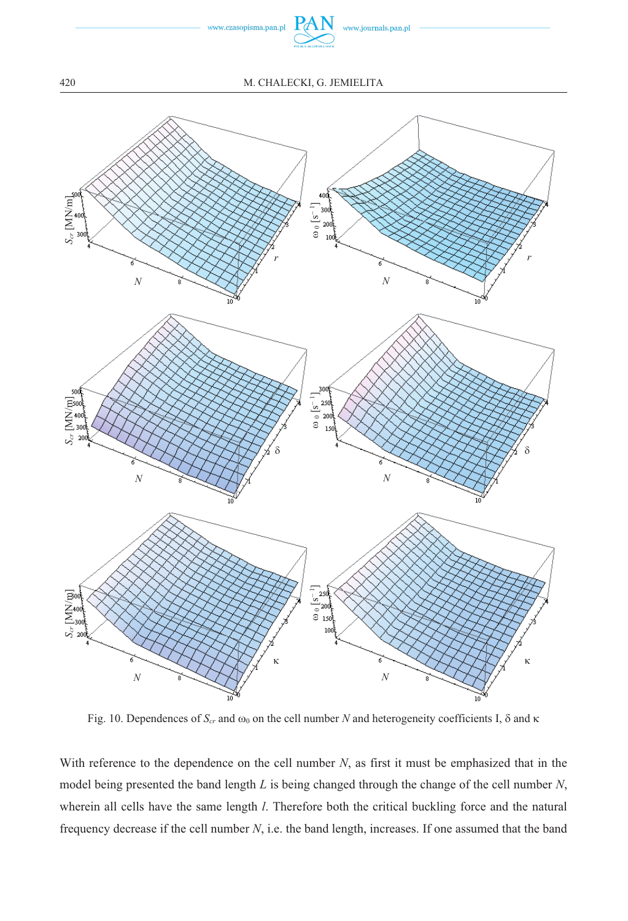

#### 20 M. CHALECKI, G. JEMIELITA



Fig. 10. Dependences of  $S_{cr}$  and  $\omega_0$  on the cell number *N* and heterogeneity coefficients I,  $\delta$  and  $\kappa$ 

With reference to the dependence on the cell number *N*, as first it must be emphasized that in the model being presented the band length *L* is being changed through the change of the cell number *N*, wherein all cells have the same length *l*. Therefore both the critical buckling force and the natural frequency decrease if the cell number *N*, i.e. the band length, increases. If one assumed that the band

420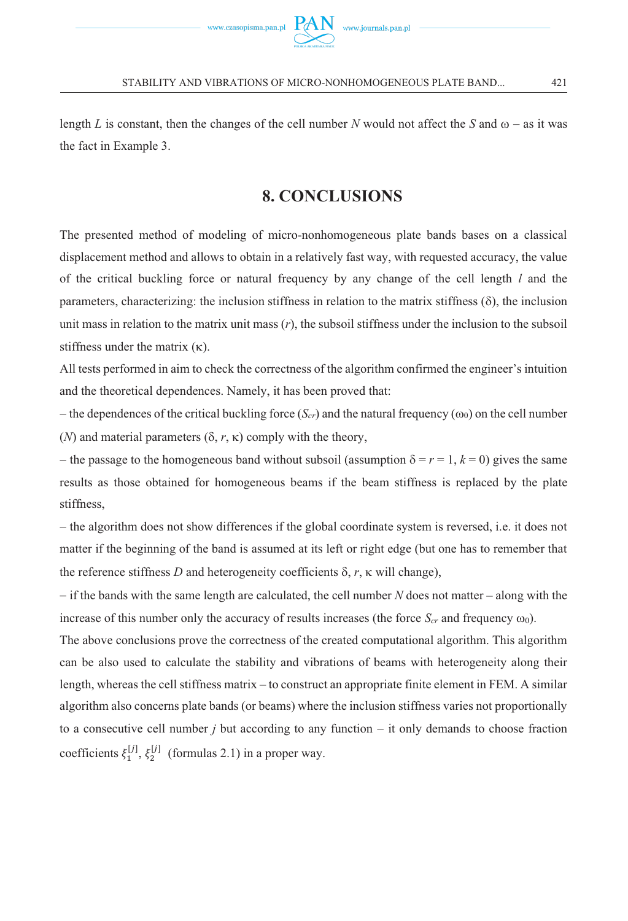

length *L* is constant, then the changes of the cell number *N* would not affect the *S* and  $\omega$  – as it was the fact in Example 3.

# **8. CONCLUSIONS**

The presented method of modeling of micro-nonhomogeneous plate bands bases on a classical displacement method and allows to obtain in a relatively fast way, with requested accuracy, the value of the critical buckling force or natural frequency by any change of the cell length *l* and the parameters, characterizing: the inclusion stiffness in relation to the matrix stiffness  $(\delta)$ , the inclusion unit mass in relation to the matrix unit mass (*r*), the subsoil stiffness under the inclusion to the subsoil stiffness under the matrix  $(\kappa)$ .

All tests performed in aim to check the correctness of the algorithm confirmed the engineer's intuition and the theoretical dependences. Namely, it has been proved that:

 $-$  the dependences of the critical buckling force  $(S_{cr})$  and the natural frequency  $(\omega_0)$  on the cell number (*N*) and material parameters  $(\delta, r, \kappa)$  comply with the theory,

 $-$  the passage to the homogeneous band without subsoil (assumption  $\delta = r = 1, k = 0$ ) gives the same results as those obtained for homogeneous beams if the beam stiffness is replaced by the plate stiffness,

- the algorithm does not show differences if the global coordinate system is reversed, i.e. it does not matter if the beginning of the band is assumed at its left or right edge (but one has to remember that the reference stiffness  $D$  and heterogeneity coefficients  $\delta$ ,  $r$ ,  $\kappa$  will change),

- if the bands with the same length are calculated, the cell number *N* does not matter – along with the increase of this number only the accuracy of results increases (the force  $S_{cr}$  and frequency  $\omega_0$ ).

The above conclusions prove the correctness of the created computational algorithm. This algorithm can be also used to calculate the stability and vibrations of beams with heterogeneity along their length, whereas the cell stiffness matrix – to construct an appropriate finite element in FEM. A similar algorithm also concerns plate bands (or beams) where the inclusion stiffness varies not proportionally to a consecutive cell number *j* but according to any function - it only demands to choose fraction coefficients  $\xi_1^{[j]}, \xi_2^{[j]}$  (formulas 2.1) in a proper way.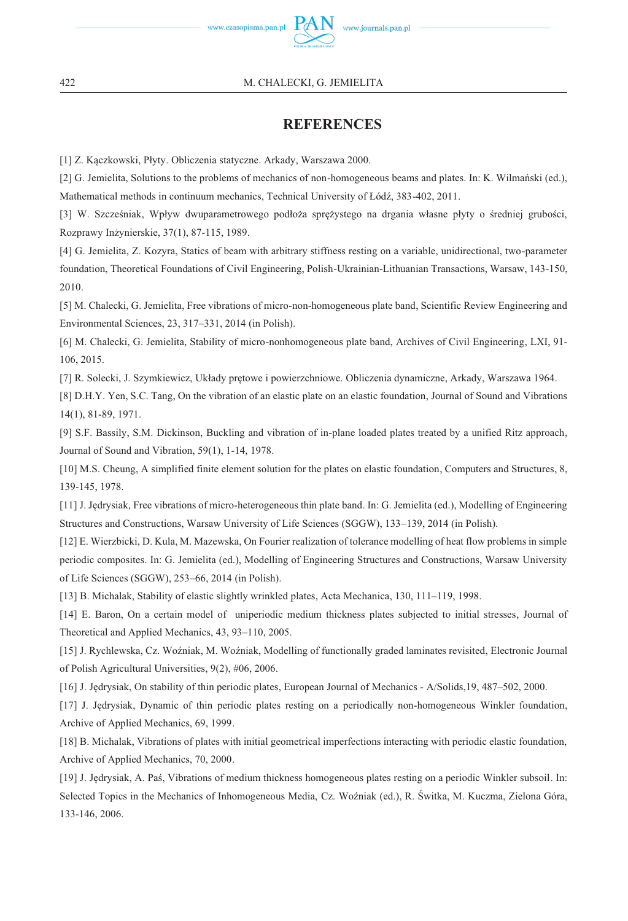

#### 22 M. CHALECKI, G. JEMIELITA

# **REFERENCES**

[1] Z. Kączkowski, Płyty. Obliczenia statyczne. Arkady, Warszawa 2000.

[2] G. Jemielita, Solutions to the problems of mechanics of non-homogeneous beams and plates. In: K. Wilmański (ed.), Mathematical methods in continuum mechanics, Technical University of Łódź, 383-402, 2011.

[3] W. Szcześniak, Wpływ dwuparametrowego podłoża sprężystego na drgania własne płyty o średniej grubości, Rozprawy Inżynierskie, 37(1), 87-115, 1989.

[4] G. Jemielita, Z. Kozyra, Statics of beam with arbitrary stiffness resting on a variable, unidirectional, two-parameter foundation, Theoretical Foundations of Civil Engineering, Polish-Ukrainian-Lithuanian Transactions, Warsaw, 143-150, 2010.

[5] M. Chalecki, G. Jemielita, Free vibrations of micro-non-homogeneous plate band, Scientific Review Engineering and Environmental Sciences, 23, 317–331, 2014 (in Polish).

[6] M. Chalecki, G. Jemielita, Stability of micro-nonhomogeneous plate band, Archives of Civil Engineering, LXI, 91- 106, 2015.

[7] R. Solecki, J. Szymkiewicz, Układy prętowe i powierzchniowe. Obliczenia dynamiczne, Arkady, Warszawa 1964.

[8] D.H.Y. Yen, S.C. Tang, On the vibration of an elastic plate on an elastic foundation, Journal of Sound and Vibrations 14(1), 81-89, 1971.

[9] S.F. Bassily, S.M. Dickinson, Buckling and vibration of in-plane loaded plates treated by a unified Ritz approach, Journal of Sound and Vibration, 59(1), 1-14, 1978.

[10] M.S. Cheung, A simplified finite element solution for the plates on elastic foundation, Computers and Structures, 8, 139-145, 1978.

[11] J. Jędrysiak, Free vibrations of micro-heterogeneous thin plate band. In: G. Jemielita (ed.), Modelling of Engineering Structures and Constructions, Warsaw University of Life Sciences (SGGW), 133–139, 2014 (in Polish).

[12] E. Wierzbicki, D. Kula, M. Mazewska, On Fourier realization of tolerance modelling of heat flow problems in simple periodic composites. In: G. Jemielita (ed.), Modelling of Engineering Structures and Constructions, Warsaw University of Life Sciences (SGGW), 253–66, 2014 (in Polish).

[13] B. Michalak, Stability of elastic slightly wrinkled plates, Acta Mechanica, 130, 111–119, 1998.

[14] E. Baron, On a certain model of uniperiodic medium thickness plates subjected to initial stresses, Journal of Theoretical and Applied Mechanics, 43, 93–110, 2005.

[15] J. Rychlewska, Cz. Woźniak, M. Woźniak, Modelling of functionally graded laminates revisited, Electronic Journal of Polish Agricultural Universities, 9(2), #06, 2006.

[16] J. Jędrysiak, On stability of thin periodic plates, European Journal of Mechanics - A/Solids,19, 487–502, 2000.

[17] J. Jędrysiak, Dynamic of thin periodic plates resting on a periodically non-homogeneous Winkler foundation, Archive of Applied Mechanics, 69, 1999.

[18] B. Michalak, Vibrations of plates with initial geometrical imperfections interacting with periodic elastic foundation, Archive of Applied Mechanics, 70, 2000.

[19] J. Jędrysiak, A. Paś, Vibrations of medium thickness homogeneous plates resting on a periodic Winkler subsoil. In: Selected Topics in the Mechanics of Inhomogeneous Media, Cz. Woźniak (ed.), R. Świtka, M. Kuczma, Zielona Góra, 133-146, 2006.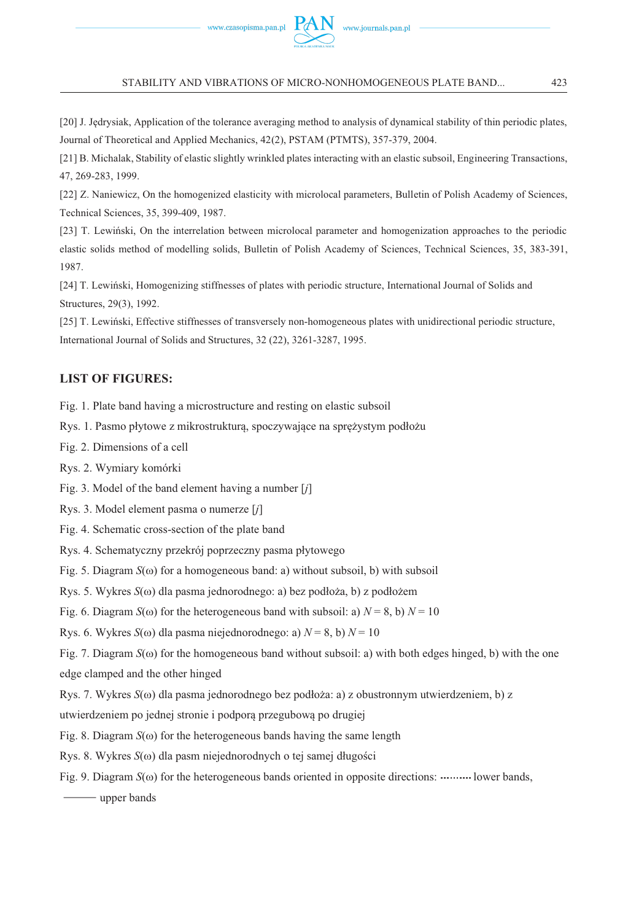STABILITY AND VIBRATIONS OF MICRO-NONHOMOGENEOUS PLATE BAND... 4

[20] J. Jędrysiak, Application of the tolerance averaging method to analysis of dynamical stability of thin periodic plates, Journal of Theoretical and Applied Mechanics, 42(2), PSTAM (PTMTS), 357-379, 2004.

[21] B. Michalak, Stability of elastic slightly wrinkled plates interacting with an elastic subsoil, Engineering Transactions, 47, 269-283, 1999.

[22] Z. Naniewicz, On the homogenized elasticity with microlocal parameters, Bulletin of Polish Academy of Sciences, Technical Sciences, 35, 399-409, 1987.

[23] T. Lewiński, On the interrelation between microlocal parameter and homogenization approaches to the periodic elastic solids method of modelling solids, Bulletin of Polish Academy of Sciences, Technical Sciences, 35, 383-391, 1987.

[24] T. Lewiński, Homogenizing stiffnesses of plates with periodic structure, International Journal of Solids and Structures, 29(3), 1992.

[25] T. Lewiński, Effective stiffnesses of transversely non-homogeneous plates with unidirectional periodic structure, International Journal of Solids and Structures, 32 (22), 3261-3287, 1995.

#### **LIST OF FIGURES:**

Fig. 1. Plate band having a microstructure and resting on elastic subsoil

Rys. 1. Pasmo płytowe z mikrostrukturą, spoczywające na sprężystym podłożu

Fig. 2. Dimensions of a cell

Rys. 2. Wymiary komórki

Fig. 3. Model of the band element having a number [*j*]

Rys. 3. Model element pasma o numerze [*j*]

Fig. 4. Schematic cross-section of the plate band

Rys. 4. Schematyczny przekrój poprzeczny pasma płytowego

Fig. 5. Diagram  $S(\omega)$  for a homogeneous band: a) without subsoil, b) with subsoil

Rys. 5. Wykres *S*(ω) dla pasma jednorodnego: a) bez podłoża, b) z podłożem

Fig. 6. Diagram  $S(\omega)$  for the heterogeneous band with subsoil: a)  $N = 8$ , b)  $N = 10$ 

Rys. 6. Wykres  $S(\omega)$  dla pasma niejednorodnego: a)  $N = 8$ , b)  $N = 10$ 

Fig. 7. Diagram  $S(\omega)$  for the homogeneous band without subsoil: a) with both edges hinged, b) with the one edge clamped and the other hinged

Rys. 7. Wykres  $S(\omega)$  dla pasma jednorodnego bez podłoża: a) z obustronnym utwierdzeniem, b) z

utwierdzeniem po jednej stronie i podporą przegubową po drugiej

Fig. 8. Diagram  $S(\omega)$  for the heterogeneous bands having the same length

Rys. 8. Wykres *S*(ω) dla pasm niejednorodnych o tej samej długości

Fig. 9. Diagram  $S(\omega)$  for the heterogeneous bands oriented in opposite directions: .......... lower bands,

**upper bands**